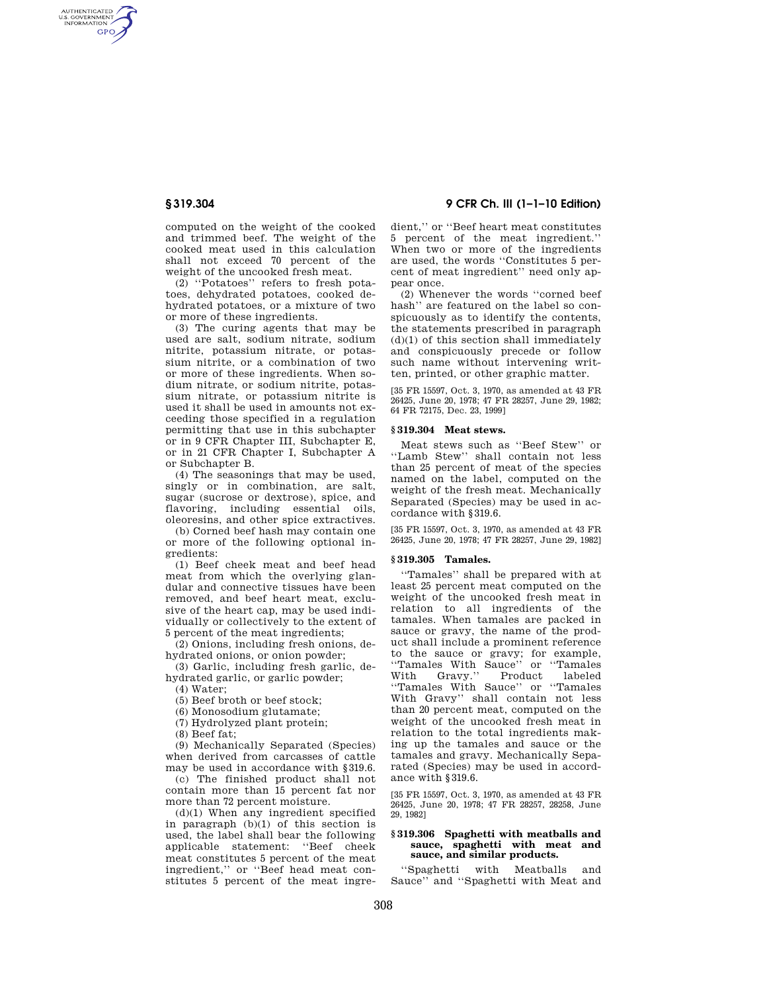AUTHENTICATED<br>U.S. GOVERNMENT<br>INFORMATION **GPO** 

> computed on the weight of the cooked and trimmed beef. The weight of the cooked meat used in this calculation shall not exceed 70 percent of the weight of the uncooked fresh meat.

(2) ''Potatoes'' refers to fresh potatoes, dehydrated potatoes, cooked dehydrated potatoes, or a mixture of two or more of these ingredients.

(3) The curing agents that may be used are salt, sodium nitrate, sodium nitrite, potassium nitrate, or potassium nitrite, or a combination of two or more of these ingredients. When sodium nitrate, or sodium nitrite, potassium nitrate, or potassium nitrite is used it shall be used in amounts not exceeding those specified in a regulation permitting that use in this subchapter or in 9 CFR Chapter III, Subchapter E, or in 21 CFR Chapter I, Subchapter A or Subchapter B.

(4) The seasonings that may be used, singly or in combination, are salt, sugar (sucrose or dextrose), spice, and flavoring, including essential oils, oleoresins, and other spice extractives.

(b) Corned beef hash may contain one or more of the following optional ingredients:

(1) Beef cheek meat and beef head meat from which the overlying glandular and connective tissues have been removed, and beef heart meat, exclusive of the heart cap, may be used individually or collectively to the extent of 5 percent of the meat ingredients;

(2) Onions, including fresh onions, dehydrated onions, or onion powder;

(3) Garlic, including fresh garlic, dehydrated garlic, or garlic powder;

 $(4)$  Water:

(5) Beef broth or beef stock;

(6) Monosodium glutamate;

(7) Hydrolyzed plant protein;

 $(8)$  Beef fat:

(9) Mechanically Separated (Species) when derived from carcasses of cattle may be used in accordance with §319.6.

(c) The finished product shall not contain more than 15 percent fat nor more than 72 percent moisture.

(d)(1) When any ingredient specified in paragraph (b)(1) of this section is used, the label shall bear the following applicable statement: ''Beef cheek meat constitutes 5 percent of the meat ingredient,'' or ''Beef head meat constitutes 5 percent of the meat ingre-

# **§ 319.304 9 CFR Ch. III (1–1–10 Edition)**

dient,'' or ''Beef heart meat constitutes 5 percent of the meat ingredient.'' When two or more of the ingredients are used, the words ''Constitutes 5 percent of meat ingredient'' need only appear once.

(2) Whenever the words ''corned beef hash'' are featured on the label so conspicuously as to identify the contents, the statements prescribed in paragraph  $(d)(1)$  of this section shall immediately and conspicuously precede or follow such name without intervening written, printed, or other graphic matter.

[35 FR 15597, Oct. 3, 1970, as amended at 43 FR 26425, June 20, 1978; 47 FR 28257, June 29, 1982; 64 FR 72175, Dec. 23, 1999]

#### **§ 319.304 Meat stews.**

Meat stews such as ''Beef Stew'' or ''Lamb Stew'' shall contain not less than 25 percent of meat of the species named on the label, computed on the weight of the fresh meat. Mechanically Separated (Species) may be used in accordance with §319.6.

[35 FR 15597, Oct. 3, 1970, as amended at 43 FR 26425, June 20, 1978; 47 FR 28257, June 29, 1982]

#### **§ 319.305 Tamales.**

''Tamales'' shall be prepared with at least 25 percent meat computed on the weight of the uncooked fresh meat in relation to all ingredients of the tamales. When tamales are packed in sauce or gravy, the name of the product shall include a prominent reference to the sauce or gravy; for example, ''Tamales With Sauce'' or ''Tamales With Gravy.'' Product labeled ''Tamales With Sauce'' or ''Tamales With Gravy'' shall contain not less than 20 percent meat, computed on the weight of the uncooked fresh meat in relation to the total ingredients making up the tamales and sauce or the tamales and gravy. Mechanically Separated (Species) may be used in accordance with §319.6.

[35 FR 15597, Oct. 3, 1970, as amended at 43 FR 26425, June 20, 1978; 47 FR 28257, 28258, June 29, 1982]

#### **§ 319.306 Spaghetti with meatballs and sauce, spaghetti with meat and sauce, and similar products.**

''Spaghetti with Meatballs and Sauce'' and ''Spaghetti with Meat and